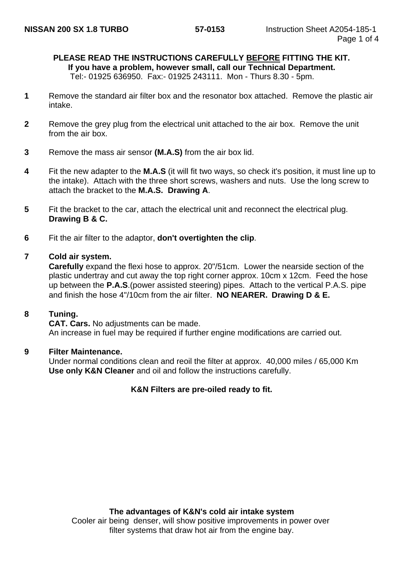## **PLEASE READ THE INSTRUCTIONS CAREFULLY BEFORE FITTING THE KIT.**

**If you have a problem, however small, call our Technical Department.**

Tel:- 01925 636950. Fax:- 01925 243111. Mon - Thurs 8.30 - 5pm.

- **1** Remove the standard air filter box and the resonator box attached. Remove the plastic air intake.
- **2** Remove the grey plug from the electrical unit attached to the air box. Remove the unit from the air box.
- **3** Remove the mass air sensor **(M.A.S)** from the air box lid.
- **4** Fit the new adapter to the **M.A.S** (it will fit two ways, so check it's position, it must line up to the intake). Attach with the three short screws, washers and nuts. Use the long screw to attach the bracket to the **M.A.S. Drawing A**.
- **5** Fit the bracket to the car, attach the electrical unit and reconnect the electrical plug. **Drawing B & C.**
- **6** Fit the air filter to the adaptor, **don't overtighten the clip**.

#### **7 Cold air system.**

**Carefully** expand the flexi hose to approx. 20"/51cm. Lower the nearside section of the plastic undertray and cut away the top right corner approx. 10cm x 12cm. Feed the hose up between the **P.A.S**.(power assisted steering) pipes. Attach to the vertical P.A.S. pipe and finish the hose 4"/10cm from the air filter. **NO NEARER. Drawing D & E.**

#### **8 Tuning.**

**CAT. Cars.** No adjustments can be made. An increase in fuel may be required if further engine modifications are carried out.

#### **9 Filter Maintenance.**

Under normal conditions clean and reoil the filter at approx. 40,000 miles / 65,000 Km **Use only K&N Cleaner** and oil and follow the instructions carefully.

#### **K&N Filters are pre-oiled ready to fit.**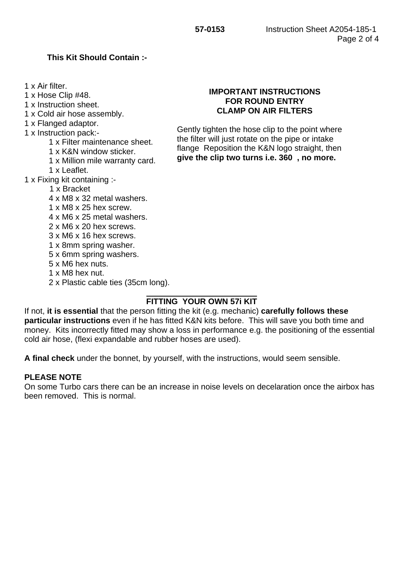#### **This Kit Should Contain :-**

1 x Air filter.

1 x Hose Clip #48.

1 x Instruction sheet.

1 x Cold air hose assembly.

1 x Flanged adaptor.

- 1 x Instruction pack:-
	- 1 x Filter maintenance sheet.
	- 1 x K&N window sticker.
	- 1 x Million mile warranty card.
	- 1 x Leaflet.
- 1 x Fixing kit containing :-
	- 1 x Bracket
	- 4 x M8 x 32 metal washers.
	- 1 x M8 x 25 hex screw.
	- 4 x M6 x 25 metal washers.
	- 2 x M6 x 20 hex screws.
	- 3 x M6 x 16 hex screws.
	- 1 x 8mm spring washer.
	- 5 x 6mm spring washers.
	- 5 x M6 hex nuts.
	- 1 x M8 hex nut.
	- 2 x Plastic cable ties (35cm long).

# Gently tighten the hose clip to the point where

the filter will just rotate on the pipe or intake flange Reposition the K&N logo straight, then **give the clip two turns i.e. 360 , no more.**

**IMPORTANT INSTRUCTIONS FOR ROUND ENTRY CLAMP ON AIR FILTERS**

### **FITTING YOUR OWN 57i KIT**

If not, **it is essential** that the person fitting the kit (e.g. mechanic) **carefully follows these particular instructions** even if he has fitted K&N kits before. This will save you both time and money. Kits incorrectly fitted may show a loss in performance e.g. the positioning of the essential cold air hose, (flexi expandable and rubber hoses are used).

**A final check** under the bonnet, by yourself, with the instructions, would seem sensible.

#### **PLEASE NOTE**

On some Turbo cars there can be an increase in noise levels on decelaration once the airbox has been removed. This is normal.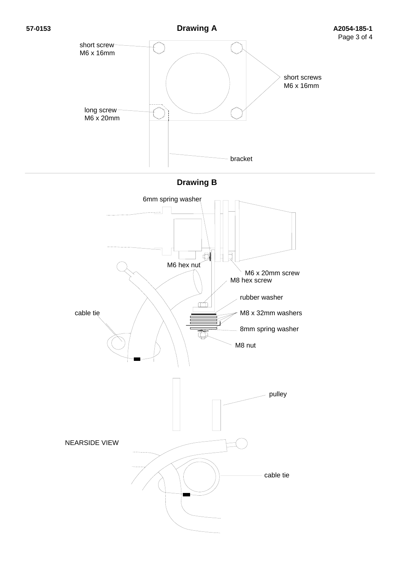

pulley NEARSIDE VIEW cable tie